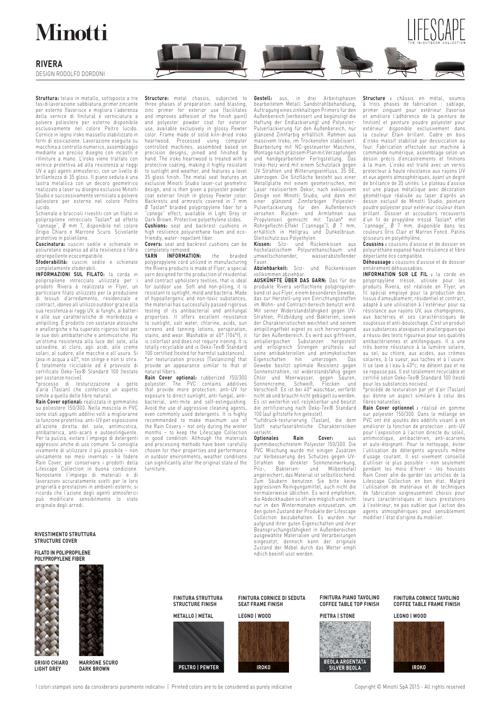## **Minotti**

### **RIVERA**

DESIGN RODOLFO DORDONI

**Struttura:** telaio in metallo, sottoposto a tre fasi di lavorazione: sabbiatura, primer zincante per esterno (favorisce e migliora l'aderenza della vernice di finitura) e verniciatura a polvere poliestere per esterno disponibile esclusivamente nel colore Peltro lucido. Cornice in legno iroko massello stabilizzato in forni di essicazione. Lavorazione eseguita su macchina a controllo numerico, assemblaggio mediante un preciso disegno con incastri rifiniture a mano. L'iroko viene trattato con vernice protettiva ad alta resistenza ai raggi UV e agli agenti atmosferici, con un livello di brillantezza di 35 gloss. Il piano seduta è una lastra metallica con un decoro geometrico realizzato a laser su disegno esclusivo Minotti Studio e successivamente verniciato a polvere poliestere per esterno nel colore Peltro lucido.<br>Lucido.<br>Schienale e braccioli rivestiti con un filato in

Schienale e braccioli rivestiti con un filato in<br>polipropilene intrecciato Taslan\* ad effetto<br>"cannage", Ø mm 7, disponibile nel colore<br>Grigio Chiaro e Marrone Scuro. Scivolante protettivo in polietilene. **Cuscinatura:** cuscini sedile e schienale in

poliuretano espanso ad alta resilienza e fibra idrorepellente ecocompatibile.

**Sfoderabilità:** cuscini sedile e schienale completamente sfoderabili. **INFORMAZIONI SUL FILATO:** la corda in

polipropilene intrecciato utilizzata per i prodotti Rivera è realizzata in Flyer, un particolare filato utilizzato per la produzione di tessuti d'arredamento, residenziale e contract, idoneo all'utilizzo outdoor grazie alla sua resistenza ai raggi UV, ai funghi, ai batteri e alle sue caratteristiche di morbidezza e antipilling. È prodotto con sostanze atossiche e anallergiche e ha superato rigorosi test per le sue doti antibatteriche e antimicotiche. un'ottima resistenza alla luce del sole, alla salsedine, al cloro, agli acidi, alle creme solari, al sudore, alle macchie e all'usura. Si<br>lava in acqua a 40°, non stinge e non si stira.<br>È totalmente riciclabile ed è provvisto di<br>certificato Oeko-Tex® Standard 100 (testato per sostanze nocive).

\*processo di testurizzazione a getto d'aria (Taslan) che conferisce un aspetto simile a quello delle fibre naturali.

**Rain Cover optional:** realizzata in gommatino su poliestere 150/300. Nella mescola in PVC sono stati aggiunti additivi volti a migliorarne la funzione protettiva: anti-UV per esposizione all'azione diretta del sole, antimicotica, antibatterica, anti-acaro e autoestinguente. Per la pulizia, evitare l'impiego di detergenti aggressivi anche di uso comune. Si consiglia vivamente di utilizzare il più possibile – non unicamente nei mesi invernali – le fodere Rain Cover, per conservare i prodotti della Lifescape Collection in buona condizione. Nonostante l'impiego di materiali e di lavorazioni accuratamente scelti per le loro proprietà e prestazioni in ambienti esterni, si ricorda che l'azione degli agenti atmosferici può modificare sensibilmente lo stato originale degli arredi.

**Structure:** metal chassis, subjected to three phases of preparation: sand blasting, zinc primer for exterior use (facilitates and improves adhesion of the finish paint) and polyester powder coat for exterior use, available exclusively in glossy Pewter color. Frame made of solid kiln-dried iroko heartwood. Processed using computer controlled machines, assembled based on precision designs, joined and finished by hand. The iroko heartwood is treated with a protective coating, making it highly resistant to sunlight and weather, and features a level 35 gloss finish. The metal seat features an exclusive Minotti Studio laser-cut geometric design, and is then given a polyester powder coat exterior finish in glossy Pewter color. Backrests and armrests covered in 7 mm Ø Taslan\* braided polypropylene fiber for a "canege" effect, available in Light Grey or Dark Brown. Protective polyethylene slides.

**Cushions:** seat and backrest cushions in high resilience polyurethane foam and eco-friendly, water- repellent fiber.

**Covers:** seat and backrest cushions can be

completely removed. **YARN INFORMATION:** the braided polypropylene cord utilized in manufacturing the Rivera products is made of Flyer, a special yarn designed for the production of residential and contract upholstery textiles, that is ideal for outdoor use. Soft and non-pilling, it is resistant to sunlight, mold and bacteria. Made of hypoallergenic and non-toxic substances, the material has successfully passed rigorous testing of its antibacterial and antifungal properties. It offers excellent resistance to sunlight, salt water, chlorine, acids, sun screens and tanning lotions, perspiration, stains, and wear. Washable at 40° (104°f), it is colorfast and does not require ironing. It is totally recyclable and is Oeko-Tex® Standard 100 certified (tested for harmful substances). \*air texturization process (Taslanizing) that provide an appearance similar to that of natural fibers.

**Rain Cover optional:** rubberized 150/300 polyester. The PVC contains additives that provide more protection: anti-UV for exposure to direct sunlight, anti-fungal, antibacterial, anti-mite and self-extinguishing. Avoid the use of aggressive cleaning agents, even commonly used detergents. It is highly<br>recommended to make maximum use of<br>the Rain Covers – not only during the winter<br>months – to keep the Lifescape Collection<br>in good condition. Although the materials<br>and processing chosen for their properties and performance in outdoor environments, weather conditions can significantly alter the original state of the furniture.

**Gestell:** aus, in drei Arbeitsphasen bearbeitetem Metall: Sandstrahlbehandlung, Auftragung eines zinkhaltigen Primers für den Außenbereich (verbessert und begünstigt die Haftung der Endlackierung) und Polyester-Pulverlackierung für den Außenbereich, nur glänzend Zinnfarbig erhältlich. Rahmen aus massivem Iroko, im Trockenofen stabilisiert. Bearbeitung mit NC-gesteuerter Maschine, Montage nach präzisem Plan mit Verzapfungen und handgearbeiteter Fertigstellung. Das Iroko-Holz wird mit einem Schutzlack gegen UV Strahlen und Witterungseinfluss, 35 GE, überzogen. Die Sitzfläche besteht aus einer Metallplatte mit einem geometrischen, mit Laser realisiertem Dekor, nach exklusivem Design von Minotti Studio, und dann mit einer glanzend Zinntarbigen Polyester-<br>Pulverlackierung für den Außenbereich<br>versehen. Rücken- und Armlehnen aus<br>Propylenseil gemischt mit Taslan\* mit<br>Rohrgeflecht-Effekt ("cannage"), Ø 7 mm,<br>erhältlich in Hellgrau und Dun Gleitschutz aus Polyethylen.

**Kissen:** Sitz- und Rückenkissen aus hochelastischem Polyurethanschaum und umweltschonender, wasserabstoßender Faser.

**Abziehbarkeit:** Sitz- und Rückenkissen vollkommen abziehbar.

**AUSKÜNFTE ÜBER DAS GARN:** Das für die produkte Rivera verflochtene polypropylen-band ist aus Flyer, einem besonderen Gewebe, das zur Herstell-ung von Einrichtungsstoffen im Wohn- und Contract-bereich benutzt wird. Mit seiner Widerstandsfähigkeit gegen UV-Strahlen, Pilzbildung und Bakterien, sowie der Charakteristischen weichheit und seinem antipillingeffekt eignet es sich hervorragend für den Außenbereich. Es wird aus giftfreien, antiallergischen Substanzen hergestellt und erfolgreich Strengen prüftests auf seine antibakteriellen und antimykotischen Eigenschaften hin unterzogen. Das Gewebe besitzt optimale Resistenz gegen Sonnenstrahlen, ist widerstandsfähig gegen Chlor und Meerwasser, gegen Säuren, Sonnencreme, Schweiß, Flecken und Verschleiß. Es ist bei 40° waschbar, verfärbt nicht ab und braucht nicht gebügelt zu werden. Es ist weiterhin voll rezyklierbar und besitzt die zertifizierung nach Oeko-Tex® Standard 100 (auf giftstoffe hin getestet).

\*luftdruck-texturierung (Taslan), die dem Stoff naturfaserähnliche Charakteristiken verleiht.<br>Optionales

**Optionales Rain Cover:** aus gummibeschichtetem Polyester 150/300. Die PVC Mischung wurde mit einigen Zusätzen zur Verbesserung des Schutzes gegen UV-Strahlen bei direkter Sonneneinwirkung, Pilz-, Bakterien- und Milbenbefall angereichert, das Material ist selbstlöschend. Zum Säubern benutzen Sie bitte keine aggressiven Reinigungsmittel, auch nicht die normalerweise üblichen. Es wird empfohlen, die Abdeckhauben so oft wie möglich und nicht nur in den Wintermonaten einzusetzen, um den guten Zustand der Produkte der Lifescape Collection beizubehalten. Es wurden nur aufgrund ihrer guten Eigenschaften und ihrer Beanspruchungsfähigkeit in Außenbereichen ausgewählte Materialien und Verarbeitungen eingesetzt, dennoch kann der originale Zustand der Möbel durch das Wetter empfi ndlich beeinfl usst werden.

**Structure :** châssis en métal, soumis à trois phases de fabrication : sablage, primer zinguant pour extérieur (favorise et améliore l'adhérence de la peinture de finition) et peinture poudre polyester pour extérieur disponible exclusivement dans la couleur Étain brillant. Cadre en bois d'iroko massif stabilisé par dessiccation au four. Fabrication effectuée sur machine à commande numérique, assemblage selon un dessin précis d'encastrements et finitions à la main. L'iroko est traité avec un vernis protecteur à haute résistance aux rayons UV et aux agents atmosphériques, ayant un degré de brillance de 35 unités. Le plateau d'assise est une plaque métallique avec décoration géométrique réalisée au laser d'après un dessin exclusif de Minotti Studio, peinture poudre polyester pour extérieur couleur étain brillant. Dossier et accoudoirs recouverts<br>d'un fil de propylène tressé Taslan\* effet<br>"cannage", Ø 7 mm, disponible dans les<br>couleurs Gris Clair et Marron Foncé. Patins glisseurs en polyéthylène. **Coussins :** coussins d'assise et de dossier en

LIFESCAPE

polyuréthane expansé haute résilience et fibre déperlante éco compatible.

**Déhoussage :** coussins d'assise et de dossier entièrement déhoussables. **INFORMATION SUR LE FIL :** la corde en

polypropylène tressé, utilisée pour les produits Rivera, est réalisée en Flyer, un fil spécial employé pour la production des tissus d'ameublement, résidentiel et contract, adapté à une utilisation à l'extérieur pour sa résistance aux rayons UV, aux champignons, aux bactéries et ses caractéristiques de souplesse et anti-boulochage. C'est un produit aux substances atoxiques et anallergiques qui a réussi des tests rigoureux pour ses qualités antibactériennes et antifongiques. Il a une très bonne résistance à la lumière solaire, au sel, au chlore, aux acides, aux crèmes<br>solaires, à la sueur, aux taches et à l'usure.<br>Il se lave à l'eau à 40°c, ne déteint pas et ne<br>se repasse pas. Il est totalement recyclable et certifié selon Oeko-Tex® Standard 100 (testé pour les substances nocives). \*procédé de texturation par jet d'air (Taslan)

qui donne un aspect similaire à celui des fibres naturelles.

**Rain Cover optionnel :** réalisé en gomme<br>sur polyester 150/300. Dans le mélange en<br>PVC ont été ajoutés des additifs visant à en améliorer la fonction de protection : anti-UV pour l'exposition à l'action directe du soleil, antimicotique, antibactérien, anti-acariens et auto-éteignant. Pour le nettoyage, éviter l'utilisation de détergents agressifs même d'usage courant. Il est vivement conseillé d'utiliser le plus possible – non seulement pendant les mois d'hiver – les housses Rain Cover afin de garder les articles de la Lifescape Collection en bon état. Malgré l'utilisation de matériaux et de techniques de fabrication soigneusement choisis pour leurs caractéristiques et leurs prestations à l'extérieur, ne pas oublier que l'action des agents atmosphériques peut sensiblement modifier l'état d'origine du mobilier.

**RIVESTIMENTO STRUTTURA STRUCTURE COVER**

### **FILATO IN POLIPROPILENE POLYPROPYLENE FIBER**



**GRIGIO CHIARO LIGHT GREY**

**MARRONE SCURO DARK BROWN**

**FINITURA STRUTTURA STRUCTURE FINISH METALLO | METAL**



**FINITURA CORNICE DI SEDUTA SEAT FRAME FINISH**



**FINITURA PIANO TAVOLINO COFFEE TABLE TOP FINISH**



**FINITURA CORNICE TAVOLINO COFFEE TABLE FRAME FINISH**



I colori stampati sono da considerarsi puramente indicativi | Printed colors are to be considered as purely indicative Copyright © Minotti SpA 2015 - All rights reserved